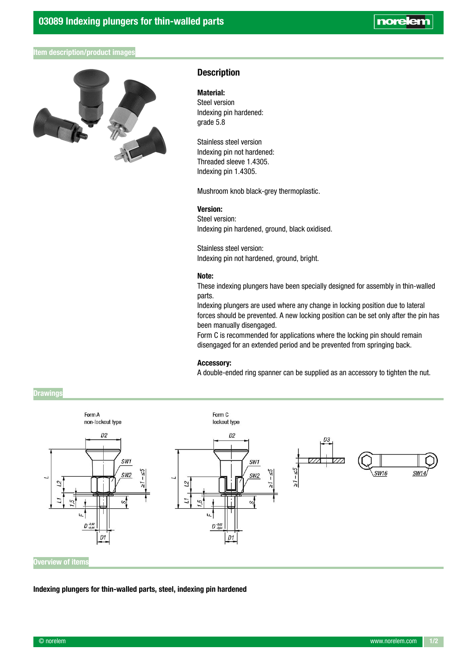# norelen

## Item description/product images



## **Description**

## Material:

Steel version Indexing pin hardened: grade 5.8

Stainless steel version Indexing pin not hardened: Threaded sleeve 1.4305. Indexing pin 1.4305.

Mushroom knob black-grey thermoplastic.

### Version:

Steel version: Indexing pin hardened, ground, black oxidised.

Stainless steel version: Indexing pin not hardened, ground, bright.

#### Note:

These indexing plungers have been specially designed for assembly in thin-walled parts.

Indexing plungers are used where any change in locking position due to lateral forces should be prevented. A new locking position can be set only after the pin has been manually disengaged.

Form C is recommended for applications where the locking pin should remain disengaged for an extended period and be prevented from springing back.

### Accessory:

A double-ended ring spanner can be supplied as an accessory to tighten the nut.



Indexing plungers for thin-walled parts, steel, indexing pin hardened